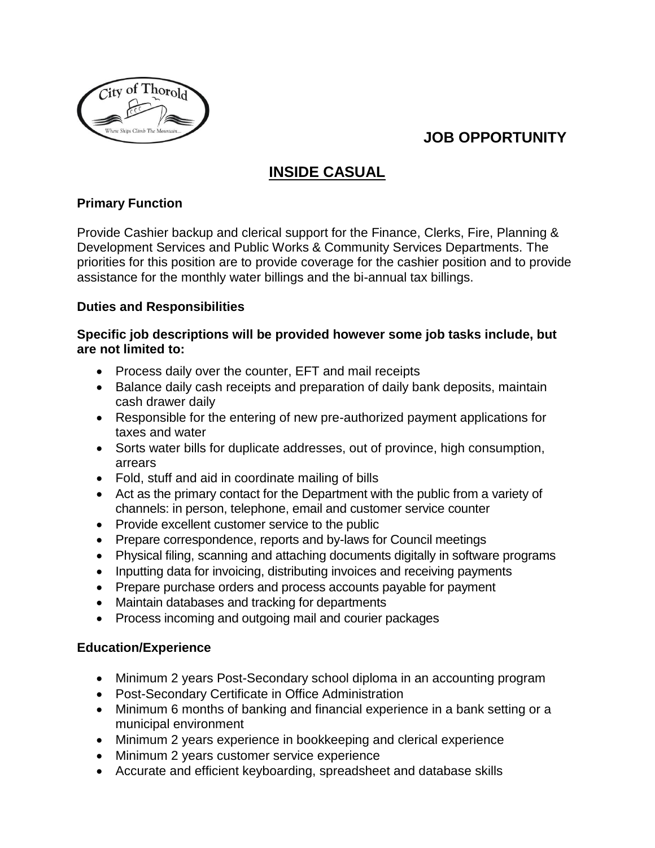

# **JOB OPPORTUNITY**

# **INSIDE CASUAL**

## **Primary Function**

Provide Cashier backup and clerical support for the Finance, Clerks, Fire, Planning & Development Services and Public Works & Community Services Departments. The priorities for this position are to provide coverage for the cashier position and to provide assistance for the monthly water billings and the bi-annual tax billings.

## **Duties and Responsibilities**

### **Specific job descriptions will be provided however some job tasks include, but are not limited to:**

- Process daily over the counter, EFT and mail receipts
- Balance daily cash receipts and preparation of daily bank deposits, maintain cash drawer daily
- Responsible for the entering of new pre-authorized payment applications for taxes and water
- Sorts water bills for duplicate addresses, out of province, high consumption, arrears
- Fold, stuff and aid in coordinate mailing of bills
- Act as the primary contact for the Department with the public from a variety of channels: in person, telephone, email and customer service counter
- Provide excellent customer service to the public
- Prepare correspondence, reports and by-laws for Council meetings
- Physical filing, scanning and attaching documents digitally in software programs
- Inputting data for invoicing, distributing invoices and receiving payments
- Prepare purchase orders and process accounts payable for payment
- Maintain databases and tracking for departments
- Process incoming and outgoing mail and courier packages

## **Education/Experience**

- Minimum 2 years Post-Secondary school diploma in an accounting program
- Post-Secondary Certificate in Office Administration
- Minimum 6 months of banking and financial experience in a bank setting or a municipal environment
- Minimum 2 years experience in bookkeeping and clerical experience
- Minimum 2 years customer service experience
- Accurate and efficient keyboarding, spreadsheet and database skills